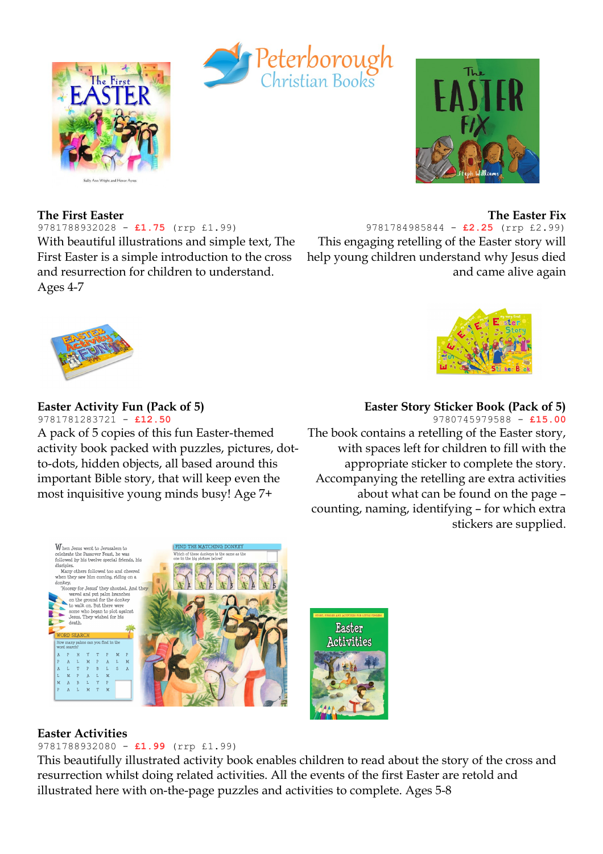





#### **The Easter Fix**

9781784985844 - **£2.25** (rrp £2.99) This engaging retelling of the Easter story will help young children understand why Jesus died and came alive again

**The First Easter**

Ages 4-7

# **Easter Activity Fun (Pack of 5)**

9781788932028 - **£1.75** (rrp £1.99)

With beautiful illustrations and simple text, The First Easter is a simple introduction to the cross and resurrection for children to understand.

9781781283721 - **£12.50** A pack of 5 copies of this fun Easter-themed activity book packed with puzzles, pictures, dotto-dots, hidden objects, all based around this important Bible story, that will keep even the

most inquisitive young minds busy! Age 7+



### **Easter Story Sticker Book (Pack of 5)**

9780745979588 - **£15.00** The book contains a retelling of the Easter story, with spaces left for children to fill with the appropriate sticker to complete the story. Accompanying the retelling are extra activities about what can be found on the page – counting, naming, identifying – for which extra stickers are supplied.



#### **Easter Activities**

#### 9781788932080 - **£1.99** (rrp £1.99)

This beautifully illustrated activity book enables children to read about the story of the cross and resurrection whilst doing related activities. All the events of the first Easter are retold and illustrated here with on-the-page puzzles and activities to complete. Ages 5-8